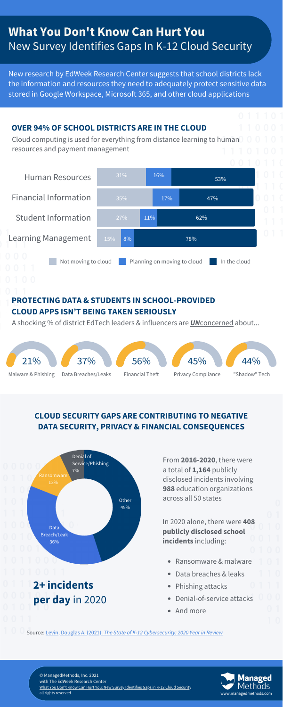New research by EdWeek Research Center suggests that school districts lack the information and resources they need to adequately protect sensitive data stored in Google Workspace, Microsoft 365, and other cloud applications



## **CLOUD SECURITY GAPS ARE CONTRIBUTING TO NEGATIVE**

#### **DATA SECURITY, PRIVACY & FINANCIAL CONSEQUENCES**



Cloud computing is used for everything from distance learning to human resources and payment management

# **What You Don't Know Can Hurt You** New Survey Identifies Gaps In K-12 Cloud Security

#### **OVER 94% OF SCHOOL DISTRICTS ARE IN THE CLOUD**

From **2016-2020**, there were a total of **1,164** publicly disclosed incidents involving **988** education organizations across all 50 states

- Ransomware & malware
- Data breaches & leaks
- Phishing attacks
- Denial-of-service attacks
- And more

In 2020 alone, there were **408 publicly disclosed school incidents** including:

**2+ incidents per day** in 2020

Source: Levin, [Douglas](https://k12cybersecure.com/wp-content/uploads/2021/03/StateofK12Cybersecurity-2020.pdf) A. (2021). *The State of K-12 [Cybersecurity:](https://k12cybersecure.com/wp-content/uploads/2021/03/StateofK12Cybersecurity-2020.pdf) 2020 Year in Review*



© ManagedMethods, Inc. 2021 with The EdWeek Research Center What You Don't Know Can Hurt You: New Survey [Identifies](https://get.managedmethods.com/k12-cloud-security-report-2021-22) Gaps in K-12 Cloud Security all rights reserved [www.managedmethods.com](https://managedmethods.com/)